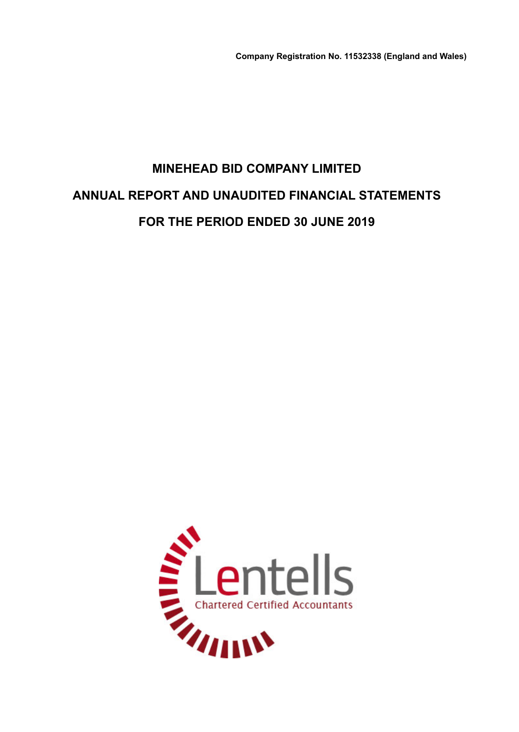**Company Registration No. 11532338 (England and Wales)**

# **MINEHEAD BID COMPANY LIMITED ANNUAL REPORT AND UNAUDITED FINANCIAL STATEMENTS FOR THE PERIOD ENDED 30 JUNE 2019**

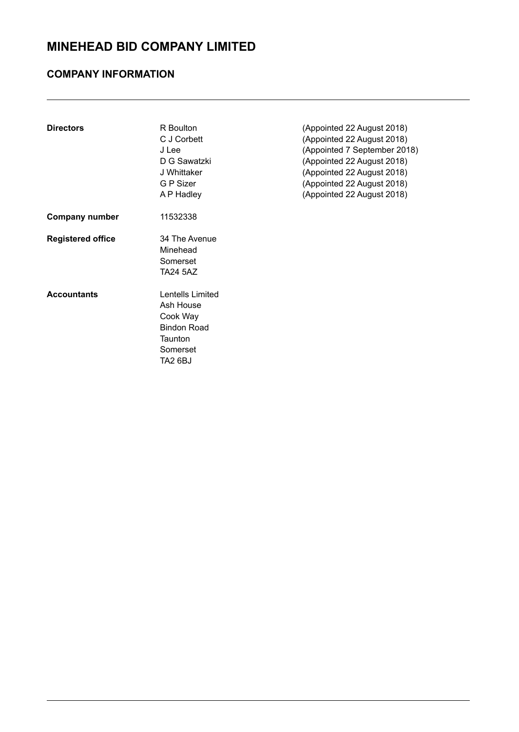## **COMPANY INFORMATION**

| <b>Directors</b>         | R Boulton<br>C J Corbett<br>J Lee<br>D G Sawatzki<br>J Whittaker<br>G P Sizer<br>A P Hadley       | (Appointed 22 August 2018)<br>(Appointed 22 August 2018)<br>(Appointed 7 September 2018)<br>(Appointed 22 August 2018)<br>(Appointed 22 August 2018)<br>(Appointed 22 August 2018)<br>(Appointed 22 August 2018) |
|--------------------------|---------------------------------------------------------------------------------------------------|------------------------------------------------------------------------------------------------------------------------------------------------------------------------------------------------------------------|
| <b>Company number</b>    | 11532338                                                                                          |                                                                                                                                                                                                                  |
| <b>Registered office</b> | 34 The Avenue<br>Minehead<br>Somerset<br>TA24 5AZ                                                 |                                                                                                                                                                                                                  |
| <b>Accountants</b>       | Lentells Limited<br>Ash House<br>Cook Way<br><b>Bindon Road</b><br>Taunton<br>Somerset<br>TA2 6BJ |                                                                                                                                                                                                                  |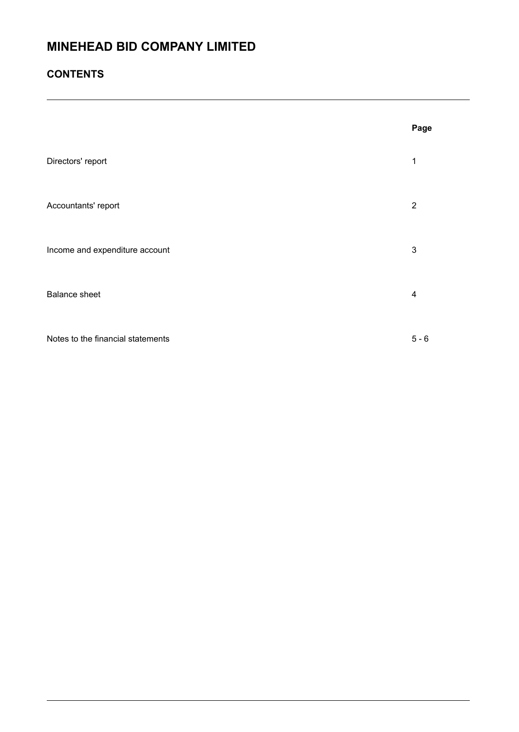## **CONTENTS**

|                                   | Page                    |
|-----------------------------------|-------------------------|
| Directors' report                 | 1                       |
| Accountants' report               | $\overline{2}$          |
| Income and expenditure account    | 3                       |
| <b>Balance sheet</b>              | $\overline{\mathbf{4}}$ |
| Notes to the financial statements | $5 - 6$                 |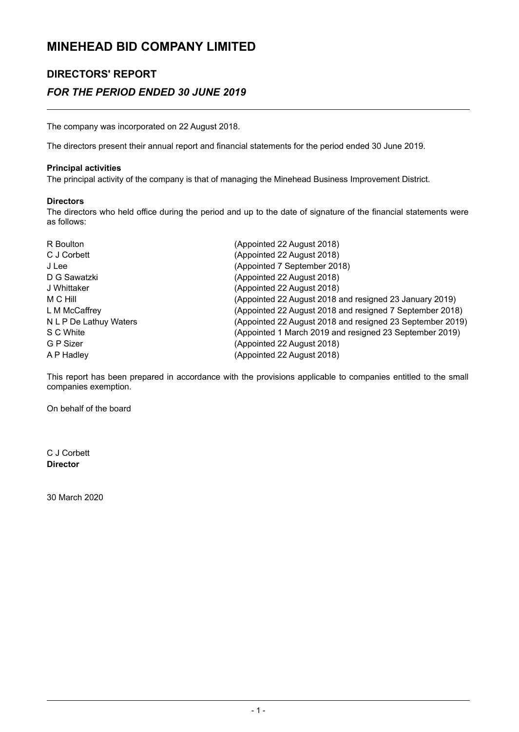## **DIRECTORS' REPORT** *FOR THE PERIOD ENDED 30 JUNE 2019*

The company was incorporated on 22 August 2018.

The directors present their annual report and financial statements for the period ended 30 June 2019.

### **Principal activities**

The principal activity of the company is that of managing the Minehead Business Improvement District.

### **Directors**

The directors who held office during the period and up to the date of signature of the financial statements were as follows:

| R Boulton              | (Appointed 22 August 2018)                                |
|------------------------|-----------------------------------------------------------|
| C J Corbett            | (Appointed 22 August 2018)                                |
| J Lee                  | (Appointed 7 September 2018)                              |
| D G Sawatzki           | (Appointed 22 August 2018)                                |
| J Whittaker            | (Appointed 22 August 2018)                                |
| M C Hill               | (Appointed 22 August 2018 and resigned 23 January 2019)   |
| L M McCaffrey          | (Appointed 22 August 2018 and resigned 7 September 2018)  |
| N L P De Lathuy Waters | (Appointed 22 August 2018 and resigned 23 September 2019) |
| S C White              | (Appointed 1 March 2019 and resigned 23 September 2019)   |
| G P Sizer              | (Appointed 22 August 2018)                                |
| A P Hadley             | (Appointed 22 August 2018)                                |

This report has been prepared in accordance with the provisions applicable to companies entitled to the small companies exemption.

On behalf of the board

C J Corbett **Director**

30 March 2020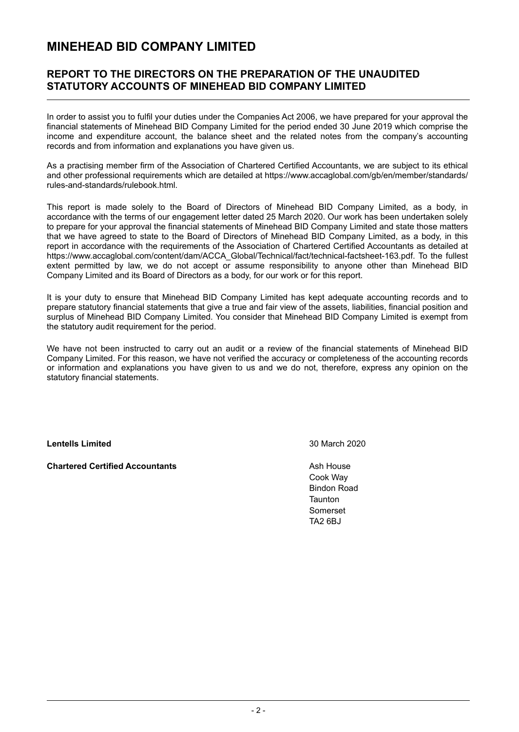### **REPORT TO THE DIRECTORS ON THE PREPARATION OF THE UNAUDITED STATUTORY ACCOUNTS OF MINEHEAD BID COMPANY LIMITED**

In order to assist you to fulfil your duties under the Companies Act 2006, we have prepared for your approval the financial statements of Minehead BID Company Limited for the period ended 30 June 2019 which comprise the income and expenditure account, the balance sheet and the related notes from the company's accounting records and from information and explanations you have given us.

As a practising member firm of the Association of Chartered Certified Accountants, we are subject to its ethical and other professional requirements which are detailed at https://www.accaglobal.com/gb/en/member/standards/ rules-and-standards/rulebook.html.

This report is made solely to the Board of Directors of Minehead BID Company Limited, as a body, in accordance with the terms of our engagement letter dated 25 March 2020. Our work has been undertaken solely to prepare for your approval the financial statements of Minehead BID Company Limited and state those matters that we have agreed to state to the Board of Directors of Minehead BID Company Limited, as a body, in this report in accordance with the requirements of the Association of Chartered Certified Accountants as detailed at https://www.accaglobal.com/content/dam/ACCA\_Global/Technical/fact/technical-factsheet-163.pdf. To the fullest extent permitted by law, we do not accept or assume responsibility to anyone other than Minehead BID Company Limited and its Board of Directors as a body, for our work or for this report.

It is your duty to ensure that Minehead BID Company Limited has kept adequate accounting records and to prepare statutory financial statements that give a true and fair view of the assets, liabilities, financial position and surplus of Minehead BID Company Limited. You consider that Minehead BID Company Limited is exempt from the statutory audit requirement for the period.

We have not been instructed to carry out an audit or a review of the financial statements of Minehead BID Company Limited. For this reason, we have not verified the accuracy or completeness of the accounting records or information and explanations you have given to us and we do not, therefore, express any opinion on the statutory financial statements.

**Lentells Limited** 30 March 2020

**Chartered Certified Accountants Accountants** Ash House

Cook Way Bindon Road **Taunton** Somerset TA2 6BJ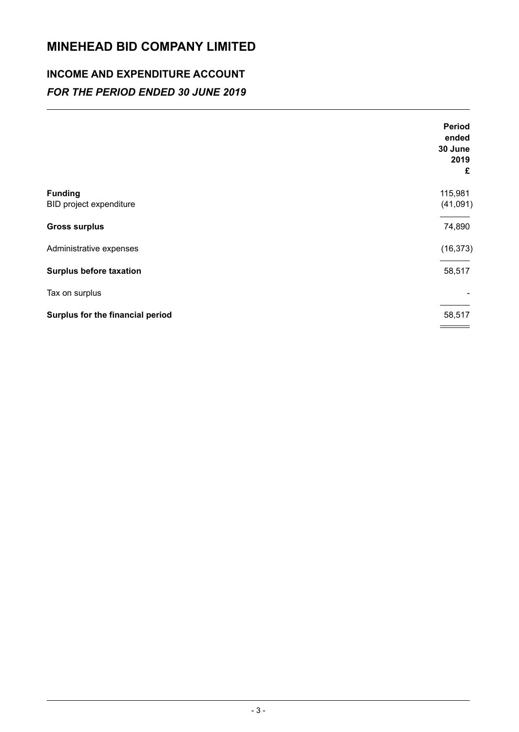## **INCOME AND EXPENDITURE ACCOUNT** *FOR THE PERIOD ENDED 30 JUNE 2019*

|                                           | Period<br>ended<br>30 June<br>2019 |
|-------------------------------------------|------------------------------------|
|                                           | £                                  |
| <b>Funding</b><br>BID project expenditure | 115,981<br>(41,091)                |
| <b>Gross surplus</b>                      | 74,890                             |
| Administrative expenses                   | (16, 373)                          |
| <b>Surplus before taxation</b>            | 58,517                             |
| Tax on surplus                            |                                    |
| Surplus for the financial period          | 58,517                             |
|                                           |                                    |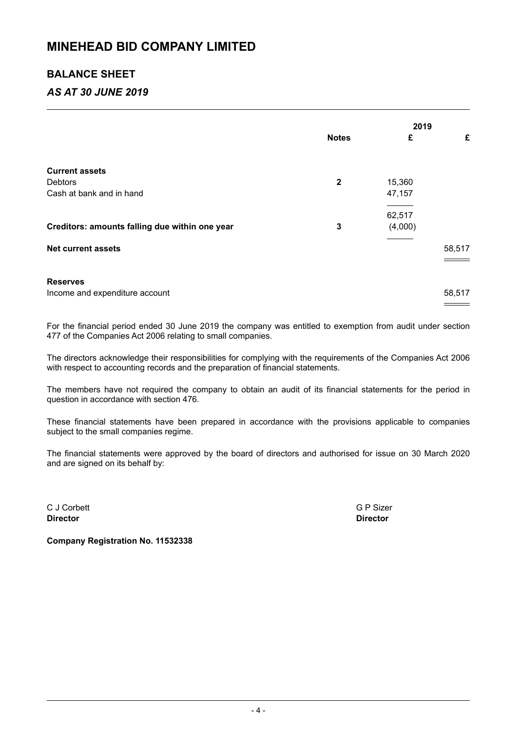### **BALANCE SHEET**

## *AS AT 30 JUNE 2019*

|                                                   |                |         | 2019   |  |
|---------------------------------------------------|----------------|---------|--------|--|
|                                                   | <b>Notes</b>   | £       | £      |  |
| <b>Current assets</b>                             |                |         |        |  |
| <b>Debtors</b>                                    | $\overline{2}$ | 15,360  |        |  |
| Cash at bank and in hand                          |                | 47,157  |        |  |
|                                                   |                |         |        |  |
|                                                   |                | 62,517  |        |  |
| Creditors: amounts falling due within one year    | 3              | (4,000) |        |  |
| <b>Net current assets</b>                         |                |         | 58,517 |  |
| <b>Reserves</b><br>Income and expenditure account |                |         | 58,517 |  |
|                                                   |                |         |        |  |

For the financial period ended 30 June 2019 the company was entitled to exemption from audit under section 477 of the Companies Act 2006 relating to small companies.

The directors acknowledge their responsibilities for complying with the requirements of the Companies Act 2006 with respect to accounting records and the preparation of financial statements.

The members have not required the company to obtain an audit of its financial statements for the period in question in accordance with section 476.

These financial statements have been prepared in accordance with the provisions applicable to companies subject to the small companies regime.

The financial statements were approved by the board of directors and authorised for issue on 30 March 2020 and are signed on its behalf by:

C J Corbett G P Sizer **Director Director**

**Company Registration No. 11532338**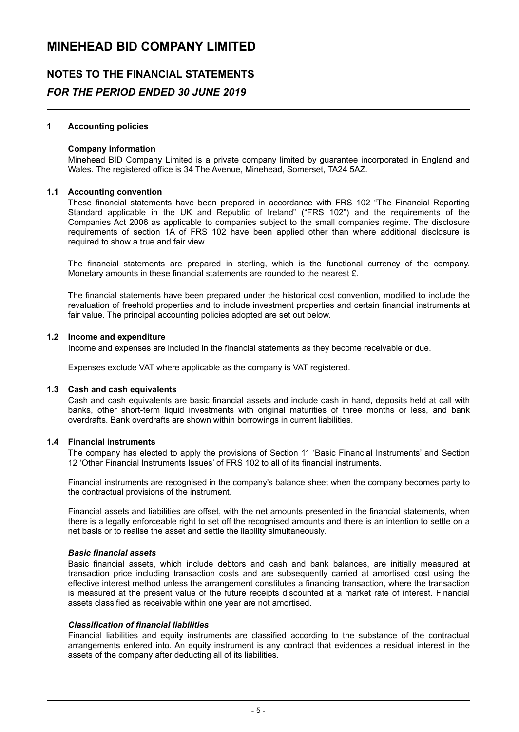## **NOTES TO THE FINANCIAL STATEMENTS**

### *FOR THE PERIOD ENDED 30 JUNE 2019*

### **1 Accounting policies**

### **Company information**

Minehead BID Company Limited is a private company limited by guarantee incorporated in England and Wales. The registered office is 34 The Avenue, Minehead, Somerset, TA24 5AZ.

### **1.1 Accounting convention**

These financial statements have been prepared in accordance with FRS 102 "The Financial Reporting Standard applicable in the UK and Republic of Ireland" ("FRS 102") and the requirements of the Companies Act 2006 as applicable to companies subject to the small companies regime. The disclosure requirements of section 1A of FRS 102 have been applied other than where additional disclosure is required to show a true and fair view.

The financial statements are prepared in sterling, which is the functional currency of the company. Monetary amounts in these financial statements are rounded to the nearest £.

The financial statements have been prepared under the historical cost convention, modified to include the revaluation of freehold properties and to include investment properties and certain financial instruments at fair value. The principal accounting policies adopted are set out below.

#### **1.2 Income and expenditure**

Income and expenses are included in the financial statements as they become receivable or due.

Expenses exclude VAT where applicable as the company is VAT registered.

#### **1.3 Cash and cash equivalents**

Cash and cash equivalents are basic financial assets and include cash in hand, deposits held at call with banks, other short-term liquid investments with original maturities of three months or less, and bank overdrafts. Bank overdrafts are shown within borrowings in current liabilities.

### **1.4 Financial instruments**

The company has elected to apply the provisions of Section 11 'Basic Financial Instruments' and Section 12 'Other Financial Instruments Issues' of FRS 102 to all of its financial instruments.

Financial instruments are recognised in the company's balance sheet when the company becomes party to the contractual provisions of the instrument.

Financial assets and liabilities are offset, with the net amounts presented in the financial statements, when there is a legally enforceable right to set off the recognised amounts and there is an intention to settle on a net basis or to realise the asset and settle the liability simultaneously.

### *Basic financial assets*

Basic financial assets, which include debtors and cash and bank balances, are initially measured at transaction price including transaction costs and are subsequently carried at amortised cost using the effective interest method unless the arrangement constitutes a financing transaction, where the transaction is measured at the present value of the future receipts discounted at a market rate of interest. Financial assets classified as receivable within one year are not amortised.

#### *Classification of financial liabilities*

Financial liabilities and equity instruments are classified according to the substance of the contractual arrangements entered into. An equity instrument is any contract that evidences a residual interest in the assets of the company after deducting all of its liabilities.